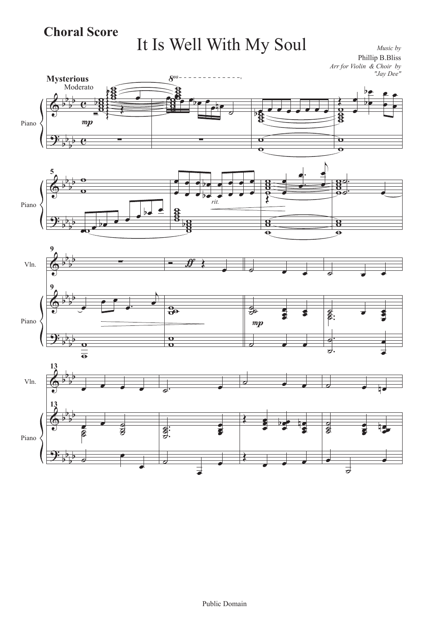## **Choral Score**

## It Is Well With My Soul *Music by*

Phillip B.Bliss *Arr for Violin & Choir by "Jay Dee"*

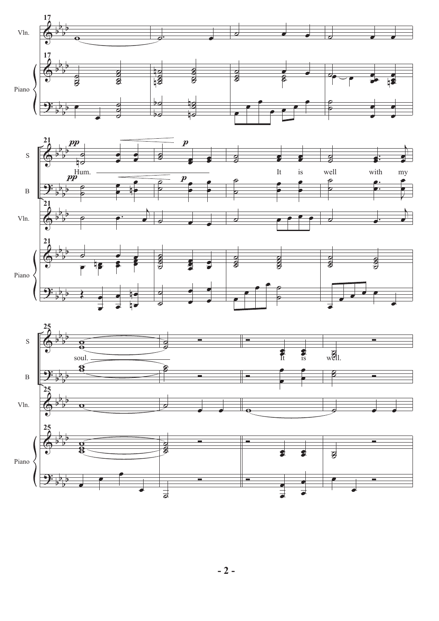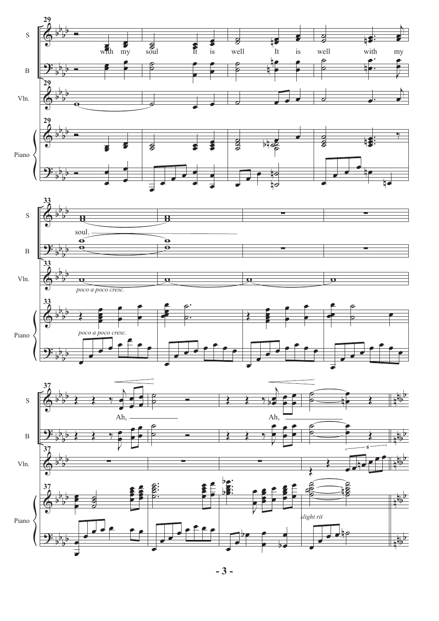

**- 3 -**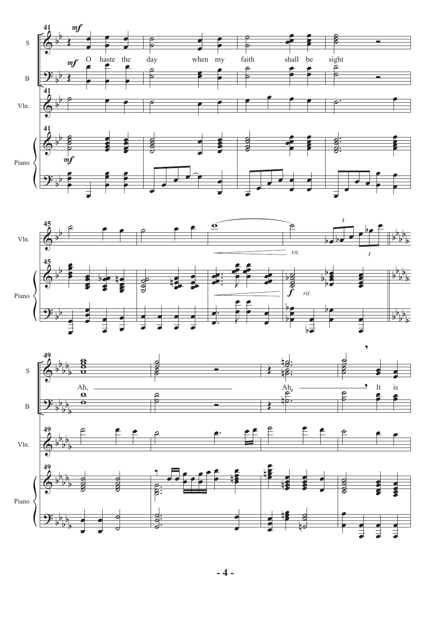



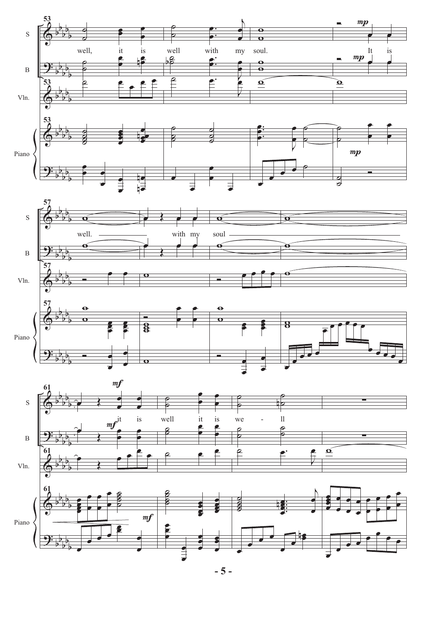

**- 5 -**